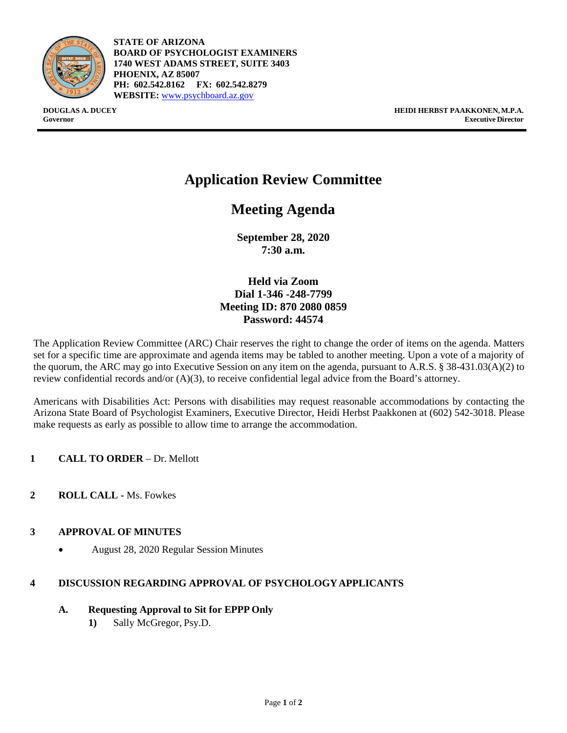

**STATE OF ARIZONA BOARD OF PSYCHOLOGIST EXAMINERS 1740 WEST ADAMS STREET, SUITE 3403 PHOENIX, AZ 85007 PH: 602.542.8162 FX: 602.542.8279 WEBSITE:** [www.psychboard.az.gov](http://www.psychboard.az.gov/)

**DOUGLAS A. DUCEY HEIDI HERBST PAAKKONEN, M.P.A. Governor Executive Director**

# **Application Review Committee**

## **Meeting Agenda**

**September 28, 2020 7:30 a.m.**

**Held via Zoom Dial 1-346 -248-7799 Meeting ID: 870 2080 0859 Password: 44574**

The Application Review Committee (ARC) Chair reserves the right to change the order of items on the agenda. Matters set for a specific time are approximate and agenda items may be tabled to another meeting. Upon a vote of a majority of the quorum, the ARC may go into Executive Session on any item on the agenda, pursuant to A.R.S. § 38-431.03(A)(2) to review confidential records and/or (A)(3), to receive confidential legal advice from the Board's attorney.

Americans with Disabilities Act: Persons with disabilities may request reasonable accommodations by contacting the Arizona State Board of Psychologist Examiners, Executive Director, Heidi Herbst Paakkonen at (602) 542-3018. Please make requests as early as possible to allow time to arrange the accommodation.

- **1 CALL TO ORDER**  Dr. Mellott
- **2 ROLL CALL -** Ms. Fowkes

## **3 APPROVAL OF MINUTES**

• August 28, 2020 Regular Session Minutes

## **4 DISCUSSION REGARDING APPROVAL OF PSYCHOLOGYAPPLICANTS**

- **A. Requesting Approval to Sit for EPPP Only**
	- **1)** Sally McGregor, Psy.D.